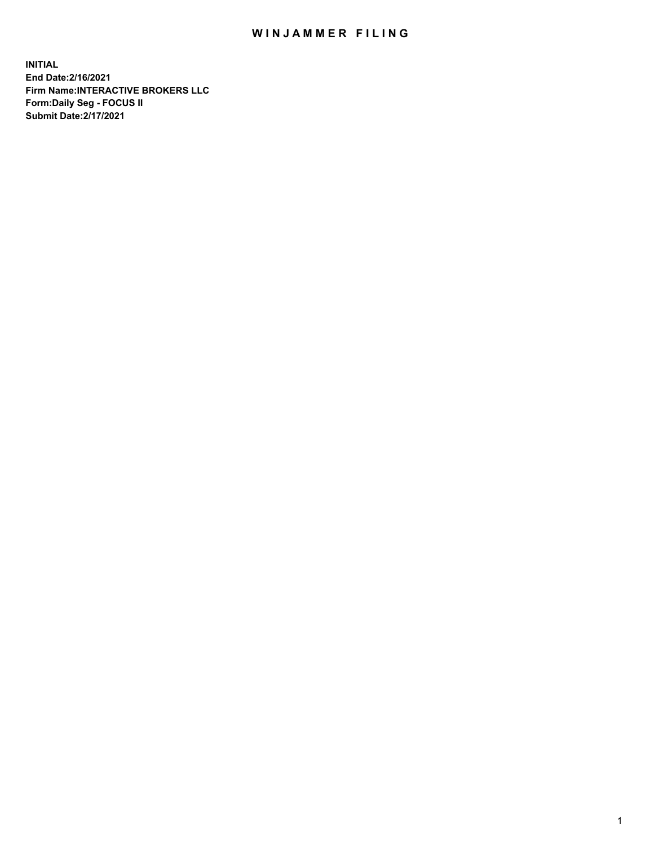## WIN JAMMER FILING

**INITIAL End Date:2/16/2021 Firm Name:INTERACTIVE BROKERS LLC Form:Daily Seg - FOCUS II Submit Date:2/17/2021**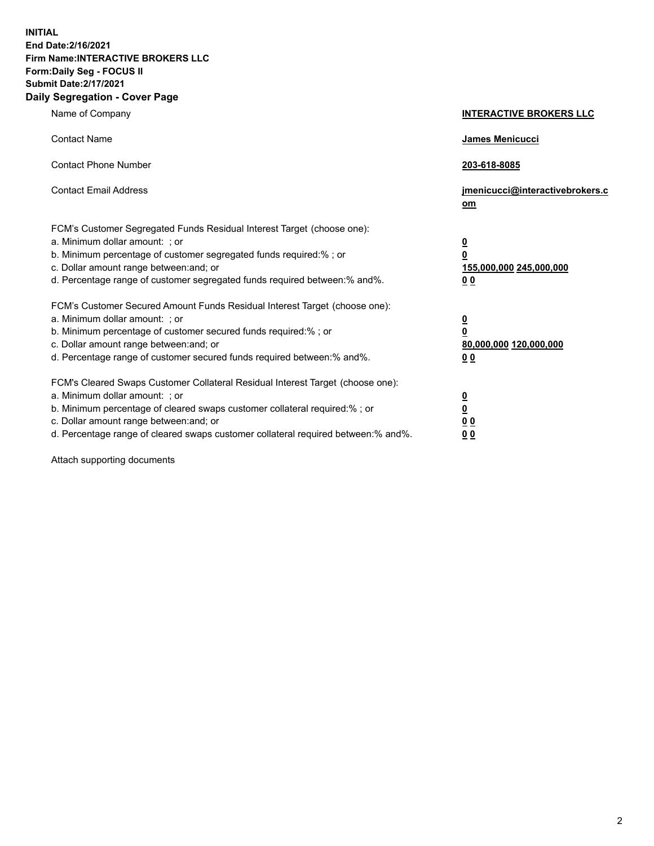**INITIAL End Date:2/16/2021 Firm Name:INTERACTIVE BROKERS LLC Form:Daily Seg - FOCUS II Submit Date:2/17/2021 Daily Segregation - Cover Page**

| Name of Company                                                                                                                                                                                                                                                                                                               | <b>INTERACTIVE BROKERS LLC</b>                                                            |  |
|-------------------------------------------------------------------------------------------------------------------------------------------------------------------------------------------------------------------------------------------------------------------------------------------------------------------------------|-------------------------------------------------------------------------------------------|--|
| <b>Contact Name</b>                                                                                                                                                                                                                                                                                                           | James Menicucci                                                                           |  |
| <b>Contact Phone Number</b>                                                                                                                                                                                                                                                                                                   | 203-618-8085                                                                              |  |
| <b>Contact Email Address</b>                                                                                                                                                                                                                                                                                                  | jmenicucci@interactivebrokers.c<br><u>om</u>                                              |  |
| FCM's Customer Segregated Funds Residual Interest Target (choose one):<br>a. Minimum dollar amount: ; or<br>b. Minimum percentage of customer segregated funds required:% ; or<br>c. Dollar amount range between: and; or<br>d. Percentage range of customer segregated funds required between: % and %.                      | $\overline{\mathbf{0}}$<br>0<br>155,000,000 245,000,000<br>0 <sub>0</sub>                 |  |
| FCM's Customer Secured Amount Funds Residual Interest Target (choose one):<br>a. Minimum dollar amount: ; or<br>b. Minimum percentage of customer secured funds required:%; or<br>c. Dollar amount range between: and; or<br>d. Percentage range of customer secured funds required between:% and%.                           | <u>0</u><br>$\overline{\mathbf{0}}$<br>80,000,000 120,000,000<br>00                       |  |
| FCM's Cleared Swaps Customer Collateral Residual Interest Target (choose one):<br>a. Minimum dollar amount: ; or<br>b. Minimum percentage of cleared swaps customer collateral required:%; or<br>c. Dollar amount range between: and; or<br>d. Percentage range of cleared swaps customer collateral required between:% and%. | <u>0</u><br>$\underline{\mathbf{0}}$<br>$\underline{0}$ $\underline{0}$<br>0 <sub>0</sub> |  |

Attach supporting documents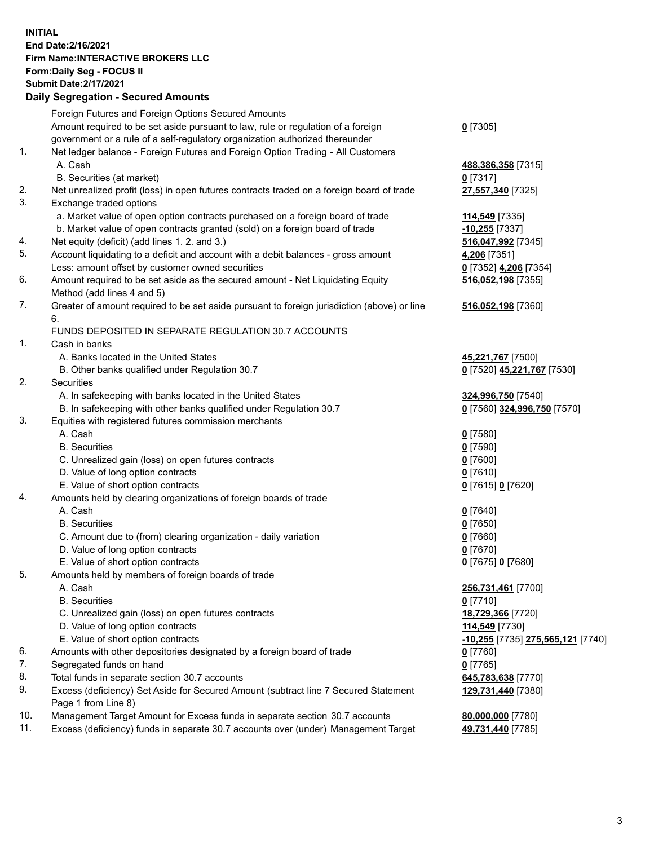**INITIAL End Date:2/16/2021 Firm Name:INTERACTIVE BROKERS LLC Form:Daily Seg - FOCUS II Submit Date:2/17/2021 Daily Segregation - Secured Amounts**

## Foreign Futures and Foreign Options Secured Amounts Amount required to be set aside pursuant to law, rule or regulation of a foreign government or a rule of a self-regulatory organization authorized thereunder **0** [7305] 1. Net ledger balance - Foreign Futures and Foreign Option Trading - All Customers A. Cash **488,386,358** [7315] B. Securities (at market) **0** [7317] 2. Net unrealized profit (loss) in open futures contracts traded on a foreign board of trade **27,557,340** [7325] 3. Exchange traded options a. Market value of open option contracts purchased on a foreign board of trade **114,549** [7335] b. Market value of open contracts granted (sold) on a foreign board of trade **-10,255** [7337] 4. Net equity (deficit) (add lines 1. 2. and 3.) **516,047,992** [7345] 5. Account liquidating to a deficit and account with a debit balances - gross amount **4,206** [7351] Less: amount offset by customer owned securities **0** [7352] **4,206** [7354] 6. Amount required to be set aside as the secured amount - Net Liquidating Equity Method (add lines 4 and 5) **516,052,198** [7355] 7. Greater of amount required to be set aside pursuant to foreign jurisdiction (above) or line 6. **516,052,198** [7360] FUNDS DEPOSITED IN SEPARATE REGULATION 30.7 ACCOUNTS 1. Cash in banks A. Banks located in the United States **45,221,767** [7500] B. Other banks qualified under Regulation 30.7 **0** [7520] **45,221,767** [7530] 2. Securities A. In safekeeping with banks located in the United States **324,996,750** [7540] B. In safekeeping with other banks qualified under Regulation 30.7 **0** [7560] **324,996,750** [7570] 3. Equities with registered futures commission merchants A. Cash **0** [7580] B. Securities **0** [7590] C. Unrealized gain (loss) on open futures contracts **0** [7600] D. Value of long option contracts **0** [7610] E. Value of short option contracts **0** [7615] **0** [7620] 4. Amounts held by clearing organizations of foreign boards of trade A. Cash **0** [7640] B. Securities **0** [7650] C. Amount due to (from) clearing organization - daily variation **0** [7660] D. Value of long option contracts **0** [7670] E. Value of short option contracts **0** [7675] **0** [7680] 5. Amounts held by members of foreign boards of trade A. Cash **256,731,461** [7700] B. Securities **0** [7710] C. Unrealized gain (loss) on open futures contracts **18,729,366** [7720] D. Value of long option contracts **114,549** [7730] E. Value of short option contracts **-10,255** [7735] **275,565,121** [7740] 6. Amounts with other depositories designated by a foreign board of trade **0** [7760] 7. Segregated funds on hand **0** [7765] 8. Total funds in separate section 30.7 accounts **645,783,638** [7770] 9. Excess (deficiency) Set Aside for Secured Amount (subtract line 7 Secured Statement Page 1 from Line 8) **129,731,440** [7380] 10. Management Target Amount for Excess funds in separate section 30.7 accounts **80,000,000** [7780] 11. Excess (deficiency) funds in separate 30.7 accounts over (under) Management Target **49,731,440** [7785]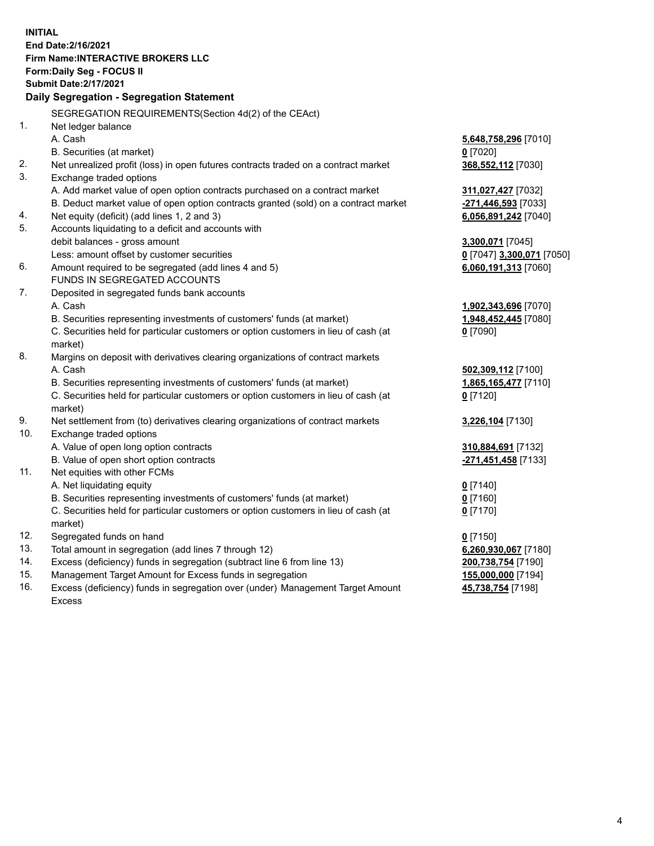**INITIAL End Date:2/16/2021 Firm Name:INTERACTIVE BROKERS LLC Form:Daily Seg - FOCUS II Submit Date:2/17/2021 Daily Segregation - Segregation Statement** SEGREGATION REQUIREMENTS(Section 4d(2) of the CEAct) 1. Net ledger balance A. Cash **5,648,758,296** [7010] B. Securities (at market) **0** [7020] 2. Net unrealized profit (loss) in open futures contracts traded on a contract market **368,552,112** [7030] 3. Exchange traded options A. Add market value of open option contracts purchased on a contract market **311,027,427** [7032] B. Deduct market value of open option contracts granted (sold) on a contract market **-271,446,593** [7033] 4. Net equity (deficit) (add lines 1, 2 and 3) **6,056,891,242** [7040] 5. Accounts liquidating to a deficit and accounts with debit balances - gross amount **3,300,071** [7045] Less: amount offset by customer securities **0** [7047] **3,300,071** [7050] 6. Amount required to be segregated (add lines 4 and 5) **6,060,191,313** [7060] FUNDS IN SEGREGATED ACCOUNTS 7. Deposited in segregated funds bank accounts A. Cash **1,902,343,696** [7070] B. Securities representing investments of customers' funds (at market) **1,948,452,445** [7080] C. Securities held for particular customers or option customers in lieu of cash (at market) **0** [7090] 8. Margins on deposit with derivatives clearing organizations of contract markets A. Cash **502,309,112** [7100] B. Securities representing investments of customers' funds (at market) **1,865,165,477** [7110] C. Securities held for particular customers or option customers in lieu of cash (at market) **0** [7120] 9. Net settlement from (to) derivatives clearing organizations of contract markets **3,226,104** [7130] 10. Exchange traded options A. Value of open long option contracts **310,884,691** [7132] B. Value of open short option contracts **-271,451,458** [7133] 11. Net equities with other FCMs A. Net liquidating equity **0** [7140] B. Securities representing investments of customers' funds (at market) **0** [7160] C. Securities held for particular customers or option customers in lieu of cash (at market) **0** [7170] 12. Segregated funds on hand **0** [7150] 13. Total amount in segregation (add lines 7 through 12) **6,260,930,067** [7180] 14. Excess (deficiency) funds in segregation (subtract line 6 from line 13) **200,738,754** [7190] 15. Management Target Amount for Excess funds in segregation **155,000,000** [7194] **45,738,754** [7198]

16. Excess (deficiency) funds in segregation over (under) Management Target Amount Excess